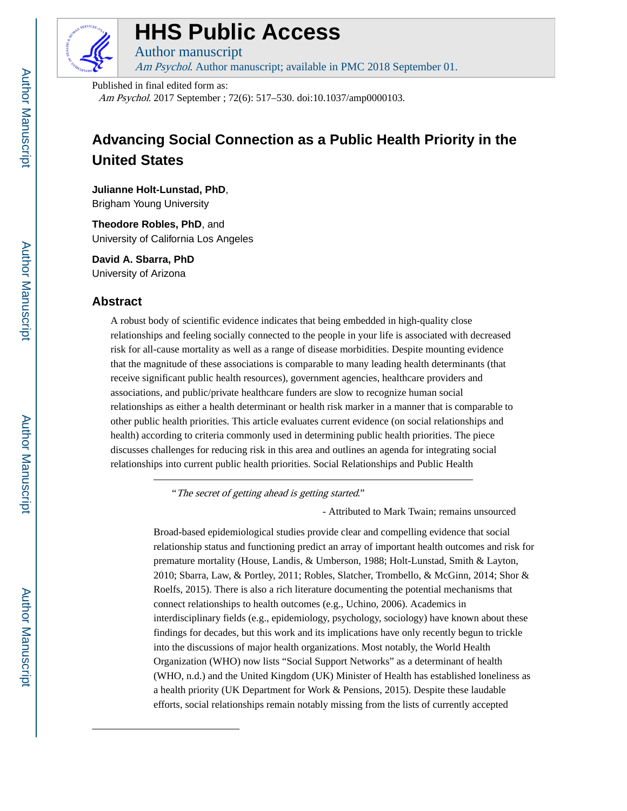

# **HHS Public Access**

Author manuscript Am Psychol. Author manuscript; available in PMC 2018 September 01.

Published in final edited form as:

Am Psychol. 2017 September ; 72(6): 517–530. doi:10.1037/amp0000103.

# **Advancing Social Connection as a Public Health Priority in the United States**

**Julianne Holt-Lunstad, PhD**,

Brigham Young University

**Theodore Robles, PhD**, and University of California Los Angeles

**David A. Sbarra, PhD** University of Arizona

### **Abstract**

A robust body of scientific evidence indicates that being embedded in high-quality close relationships and feeling socially connected to the people in your life is associated with decreased risk for all-cause mortality as well as a range of disease morbidities. Despite mounting evidence that the magnitude of these associations is comparable to many leading health determinants (that receive significant public health resources), government agencies, healthcare providers and associations, and public/private healthcare funders are slow to recognize human social relationships as either a health determinant or health risk marker in a manner that is comparable to other public health priorities. This article evaluates current evidence (on social relationships and health) according to criteria commonly used in determining public health priorities. The piece discusses challenges for reducing risk in this area and outlines an agenda for integrating social relationships into current public health priorities. Social Relationships and Public Health

"The secret of getting ahead is getting started."

- Attributed to Mark Twain; remains unsourced

Broad-based epidemiological studies provide clear and compelling evidence that social relationship status and functioning predict an array of important health outcomes and risk for premature mortality (House, Landis, & Umberson, 1988; Holt-Lunstad, Smith & Layton, 2010; Sbarra, Law, & Portley, 2011; Robles, Slatcher, Trombello, & McGinn, 2014; Shor & Roelfs, 2015). There is also a rich literature documenting the potential mechanisms that connect relationships to health outcomes (e.g., Uchino, 2006). Academics in interdisciplinary fields (e.g., epidemiology, psychology, sociology) have known about these findings for decades, but this work and its implications have only recently begun to trickle into the discussions of major health organizations. Most notably, the World Health Organization (WHO) now lists "Social Support Networks" as a determinant of health (WHO, n.d.) and the United Kingdom (UK) Minister of Health has established loneliness as a health priority (UK Department for Work & Pensions, 2015). Despite these laudable efforts, social relationships remain notably missing from the lists of currently accepted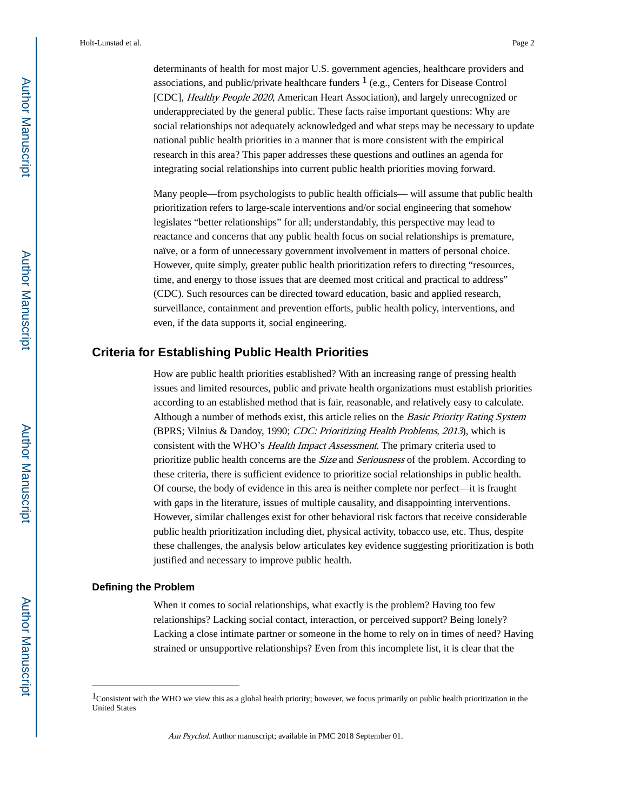determinants of health for most major U.S. government agencies, healthcare providers and associations, and public/private healthcare funders  $<sup>1</sup>$  (e.g., Centers for Disease Control</sup> [CDC], Healthy People 2020, American Heart Association), and largely unrecognized or underappreciated by the general public. These facts raise important questions: Why are social relationships not adequately acknowledged and what steps may be necessary to update national public health priorities in a manner that is more consistent with the empirical research in this area? This paper addresses these questions and outlines an agenda for integrating social relationships into current public health priorities moving forward.

Many people—from psychologists to public health officials— will assume that public health prioritization refers to large-scale interventions and/or social engineering that somehow legislates "better relationships" for all; understandably, this perspective may lead to reactance and concerns that any public health focus on social relationships is premature, naïve, or a form of unnecessary government involvement in matters of personal choice. However, quite simply, greater public health prioritization refers to directing "resources, time, and energy to those issues that are deemed most critical and practical to address" (CDC). Such resources can be directed toward education, basic and applied research, surveillance, containment and prevention efforts, public health policy, interventions, and even, if the data supports it, social engineering.

### **Criteria for Establishing Public Health Priorities**

How are public health priorities established? With an increasing range of pressing health issues and limited resources, public and private health organizations must establish priorities according to an established method that is fair, reasonable, and relatively easy to calculate. Although a number of methods exist, this article relies on the Basic Priority Rating System (BPRS; Vilnius & Dandoy, 1990; CDC: Prioritizing Health Problems, 2013), which is consistent with the WHO's Health Impact Assessment. The primary criteria used to prioritize public health concerns are the Size and Seriousness of the problem. According to these criteria, there is sufficient evidence to prioritize social relationships in public health. Of course, the body of evidence in this area is neither complete nor perfect—it is fraught with gaps in the literature, issues of multiple causality, and disappointing interventions. However, similar challenges exist for other behavioral risk factors that receive considerable public health prioritization including diet, physical activity, tobacco use, etc. Thus, despite these challenges, the analysis below articulates key evidence suggesting prioritization is both justified and necessary to improve public health.

### **Defining the Problem**

When it comes to social relationships, what exactly is the problem? Having too few relationships? Lacking social contact, interaction, or perceived support? Being lonely? Lacking a close intimate partner or someone in the home to rely on in times of need? Having strained or unsupportive relationships? Even from this incomplete list, it is clear that the

<sup>&</sup>lt;sup>1</sup>Consistent with the WHO we view this as a global health priority; however, we focus primarily on public health prioritization in the United States

Am Psychol. Author manuscript; available in PMC 2018 September 01.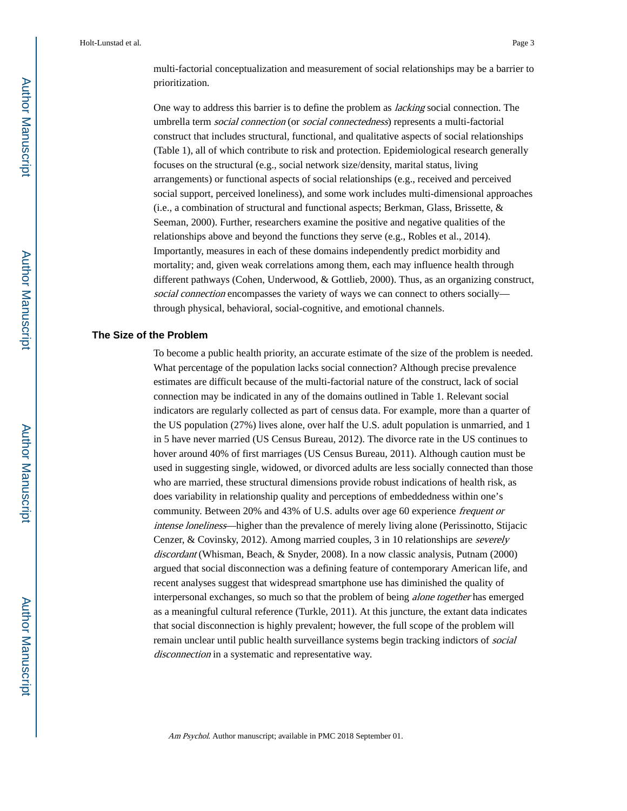One way to address this barrier is to define the problem as lacking social connection. The umbrella term *social connection* (or *social connectedness*) represents a multi-factorial construct that includes structural, functional, and qualitative aspects of social relationships (Table 1), all of which contribute to risk and protection. Epidemiological research generally focuses on the structural (e.g., social network size/density, marital status, living arrangements) or functional aspects of social relationships (e.g., received and perceived social support, perceived loneliness), and some work includes multi-dimensional approaches (i.e., a combination of structural and functional aspects; Berkman, Glass, Brissette, & Seeman, 2000). Further, researchers examine the positive and negative qualities of the relationships above and beyond the functions they serve (e.g., Robles et al., 2014). Importantly, measures in each of these domains independently predict morbidity and mortality; and, given weak correlations among them, each may influence health through different pathways (Cohen, Underwood, & Gottlieb, 2000). Thus, as an organizing construct, social connection encompasses the variety of ways we can connect to others socially through physical, behavioral, social-cognitive, and emotional channels.

### **The Size of the Problem**

To become a public health priority, an accurate estimate of the size of the problem is needed. What percentage of the population lacks social connection? Although precise prevalence estimates are difficult because of the multi-factorial nature of the construct, lack of social connection may be indicated in any of the domains outlined in Table 1. Relevant social indicators are regularly collected as part of census data. For example, more than a quarter of the US population (27%) lives alone, over half the U.S. adult population is unmarried, and 1 in 5 have never married (US Census Bureau, 2012). The divorce rate in the US continues to hover around 40% of first marriages (US Census Bureau, 2011). Although caution must be used in suggesting single, widowed, or divorced adults are less socially connected than those who are married, these structural dimensions provide robust indications of health risk, as does variability in relationship quality and perceptions of embeddedness within one's community. Between 20% and 43% of U.S. adults over age 60 experience frequent or intense loneliness—higher than the prevalence of merely living alone (Perissinotto, Stijacic Cenzer, & Covinsky, 2012). Among married couples, 3 in 10 relationships are severely discordant (Whisman, Beach, & Snyder, 2008). In a now classic analysis, Putnam (2000) argued that social disconnection was a defining feature of contemporary American life, and recent analyses suggest that widespread smartphone use has diminished the quality of interpersonal exchanges, so much so that the problem of being alone together has emerged as a meaningful cultural reference (Turkle, 2011). At this juncture, the extant data indicates that social disconnection is highly prevalent; however, the full scope of the problem will remain unclear until public health surveillance systems begin tracking indictors of social disconnection in a systematic and representative way.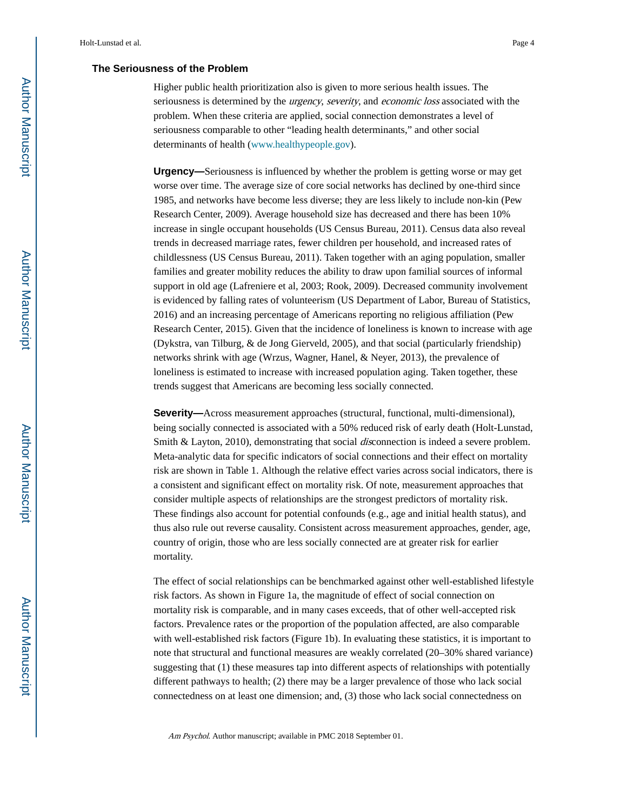### **The Seriousness of the Problem**

Higher public health prioritization also is given to more serious health issues. The seriousness is determined by the *urgency, severity*, and *economic loss* associated with the problem. When these criteria are applied, social connection demonstrates a level of seriousness comparable to other "leading health determinants," and other social determinants of health (www.healthypeople.gov).

**Urgency—**Seriousness is influenced by whether the problem is getting worse or may get worse over time. The average size of core social networks has declined by one-third since 1985, and networks have become less diverse; they are less likely to include non-kin (Pew Research Center, 2009). Average household size has decreased and there has been 10% increase in single occupant households (US Census Bureau, 2011). Census data also reveal trends in decreased marriage rates, fewer children per household, and increased rates of childlessness (US Census Bureau, 2011). Taken together with an aging population, smaller families and greater mobility reduces the ability to draw upon familial sources of informal support in old age (Lafreniere et al, 2003; Rook, 2009). Decreased community involvement is evidenced by falling rates of volunteerism (US Department of Labor, Bureau of Statistics, 2016) and an increasing percentage of Americans reporting no religious affiliation (Pew Research Center, 2015). Given that the incidence of loneliness is known to increase with age (Dykstra, van Tilburg, & de Jong Gierveld, 2005), and that social (particularly friendship) networks shrink with age (Wrzus, Wagner, Hanel, & Neyer, 2013), the prevalence of loneliness is estimated to increase with increased population aging. Taken together, these trends suggest that Americans are becoming less socially connected.

**Severity—**Across measurement approaches (structural, functional, multi-dimensional), being socially connected is associated with a 50% reduced risk of early death (Holt-Lunstad, Smith & Layton, 2010), demonstrating that social *dis*connection is indeed a severe problem. Meta-analytic data for specific indicators of social connections and their effect on mortality risk are shown in Table 1. Although the relative effect varies across social indicators, there is a consistent and significant effect on mortality risk. Of note, measurement approaches that consider multiple aspects of relationships are the strongest predictors of mortality risk. These findings also account for potential confounds (e.g., age and initial health status), and thus also rule out reverse causality. Consistent across measurement approaches, gender, age, country of origin, those who are less socially connected are at greater risk for earlier mortality.

The effect of social relationships can be benchmarked against other well-established lifestyle risk factors. As shown in Figure 1a, the magnitude of effect of social connection on mortality risk is comparable, and in many cases exceeds, that of other well-accepted risk factors. Prevalence rates or the proportion of the population affected, are also comparable with well-established risk factors (Figure 1b). In evaluating these statistics, it is important to note that structural and functional measures are weakly correlated (20–30% shared variance) suggesting that (1) these measures tap into different aspects of relationships with potentially different pathways to health; (2) there may be a larger prevalence of those who lack social connectedness on at least one dimension; and, (3) those who lack social connectedness on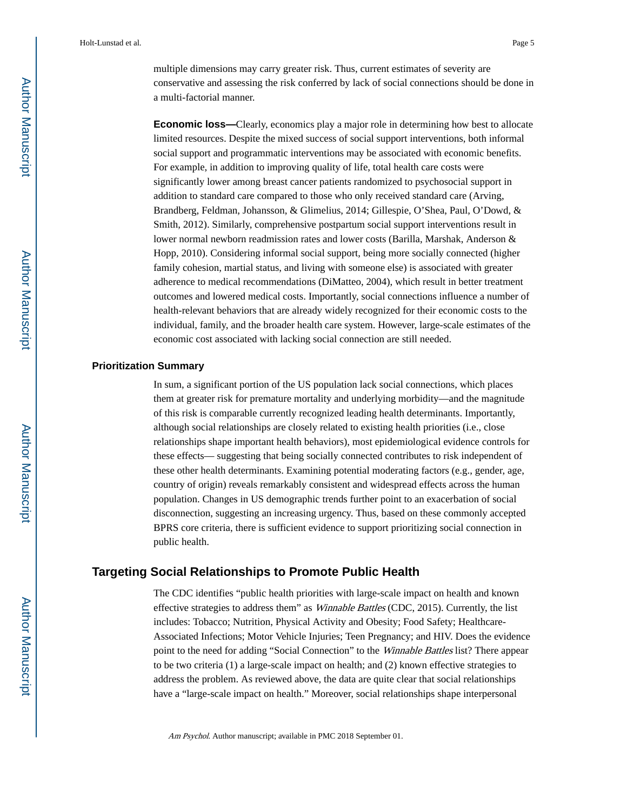multiple dimensions may carry greater risk. Thus, current estimates of severity are conservative and assessing the risk conferred by lack of social connections should be done in a multi-factorial manner.

**Economic loss—**Clearly, economics play a major role in determining how best to allocate limited resources. Despite the mixed success of social support interventions, both informal social support and programmatic interventions may be associated with economic benefits. For example, in addition to improving quality of life, total health care costs were significantly lower among breast cancer patients randomized to psychosocial support in addition to standard care compared to those who only received standard care (Arving, Brandberg, Feldman, Johansson, & Glimelius, 2014; Gillespie, O'Shea, Paul, O'Dowd, & Smith, 2012). Similarly, comprehensive postpartum social support interventions result in lower normal newborn readmission rates and lower costs (Barilla, Marshak, Anderson & Hopp, 2010). Considering informal social support, being more socially connected (higher family cohesion, martial status, and living with someone else) is associated with greater adherence to medical recommendations (DiMatteo, 2004), which result in better treatment outcomes and lowered medical costs. Importantly, social connections influence a number of health-relevant behaviors that are already widely recognized for their economic costs to the individual, family, and the broader health care system. However, large-scale estimates of the economic cost associated with lacking social connection are still needed.

### **Prioritization Summary**

In sum, a significant portion of the US population lack social connections, which places them at greater risk for premature mortality and underlying morbidity—and the magnitude of this risk is comparable currently recognized leading health determinants. Importantly, although social relationships are closely related to existing health priorities (i.e., close relationships shape important health behaviors), most epidemiological evidence controls for these effects— suggesting that being socially connected contributes to risk independent of these other health determinants. Examining potential moderating factors (e.g., gender, age, country of origin) reveals remarkably consistent and widespread effects across the human population. Changes in US demographic trends further point to an exacerbation of social disconnection, suggesting an increasing urgency. Thus, based on these commonly accepted BPRS core criteria, there is sufficient evidence to support prioritizing social connection in public health.

### **Targeting Social Relationships to Promote Public Health**

The CDC identifies "public health priorities with large-scale impact on health and known effective strategies to address them" as Winnable Battles (CDC, 2015). Currently, the list includes: Tobacco; Nutrition, Physical Activity and Obesity; Food Safety; Healthcare-Associated Infections; Motor Vehicle Injuries; Teen Pregnancy; and HIV. Does the evidence point to the need for adding "Social Connection" to the *Winnable Battles* list? There appear to be two criteria (1) a large-scale impact on health; and (2) known effective strategies to address the problem. As reviewed above, the data are quite clear that social relationships have a "large-scale impact on health." Moreover, social relationships shape interpersonal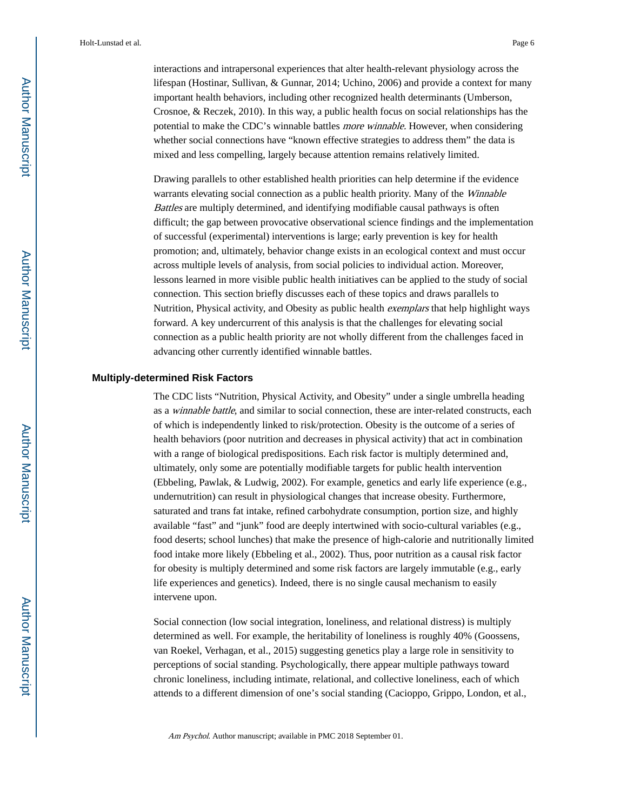interactions and intrapersonal experiences that alter health-relevant physiology across the lifespan (Hostinar, Sullivan, & Gunnar, 2014; Uchino, 2006) and provide a context for many important health behaviors, including other recognized health determinants (Umberson, Crosnoe, & Reczek, 2010). In this way, a public health focus on social relationships has the potential to make the CDC's winnable battles more winnable. However, when considering whether social connections have "known effective strategies to address them" the data is mixed and less compelling, largely because attention remains relatively limited.

Drawing parallels to other established health priorities can help determine if the evidence warrants elevating social connection as a public health priority. Many of the *Winnable* Battles are multiply determined, and identifying modifiable causal pathways is often difficult; the gap between provocative observational science findings and the implementation of successful (experimental) interventions is large; early prevention is key for health promotion; and, ultimately, behavior change exists in an ecological context and must occur across multiple levels of analysis, from social policies to individual action. Moreover, lessons learned in more visible public health initiatives can be applied to the study of social connection. This section briefly discusses each of these topics and draws parallels to Nutrition, Physical activity, and Obesity as public health *exemplars* that help highlight ways forward. A key undercurrent of this analysis is that the challenges for elevating social connection as a public health priority are not wholly different from the challenges faced in advancing other currently identified winnable battles.

### **Multiply-determined Risk Factors**

The CDC lists "Nutrition, Physical Activity, and Obesity" under a single umbrella heading as a winnable battle, and similar to social connection, these are inter-related constructs, each of which is independently linked to risk/protection. Obesity is the outcome of a series of health behaviors (poor nutrition and decreases in physical activity) that act in combination with a range of biological predispositions. Each risk factor is multiply determined and, ultimately, only some are potentially modifiable targets for public health intervention (Ebbeling, Pawlak, & Ludwig, 2002). For example, genetics and early life experience (e.g., undernutrition) can result in physiological changes that increase obesity. Furthermore, saturated and trans fat intake, refined carbohydrate consumption, portion size, and highly available "fast" and "junk" food are deeply intertwined with socio-cultural variables (e.g., food deserts; school lunches) that make the presence of high-calorie and nutritionally limited food intake more likely (Ebbeling et al., 2002). Thus, poor nutrition as a causal risk factor for obesity is multiply determined and some risk factors are largely immutable (e.g., early life experiences and genetics). Indeed, there is no single causal mechanism to easily intervene upon.

Social connection (low social integration, loneliness, and relational distress) is multiply determined as well. For example, the heritability of loneliness is roughly 40% (Goossens, van Roekel, Verhagan, et al., 2015) suggesting genetics play a large role in sensitivity to perceptions of social standing. Psychologically, there appear multiple pathways toward chronic loneliness, including intimate, relational, and collective loneliness, each of which attends to a different dimension of one's social standing (Cacioppo, Grippo, London, et al.,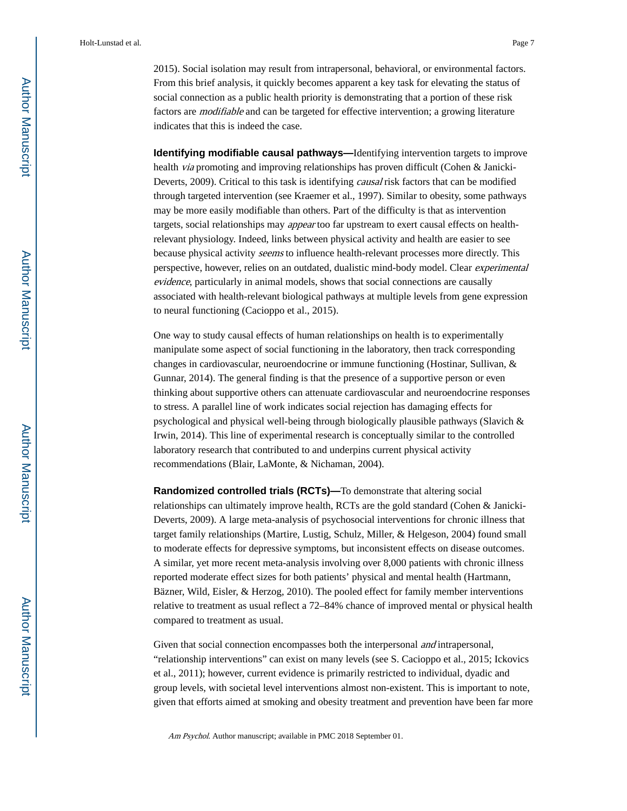2015). Social isolation may result from intrapersonal, behavioral, or environmental factors. From this brief analysis, it quickly becomes apparent a key task for elevating the status of social connection as a public health priority is demonstrating that a portion of these risk factors are modifiable and can be targeted for effective intervention; a growing literature indicates that this is indeed the case.

**Identifying modifiable causal pathways—**Identifying intervention targets to improve health via promoting and improving relationships has proven difficult (Cohen & Janicki-Deverts, 2009). Critical to this task is identifying causal risk factors that can be modified through targeted intervention (see Kraemer et al., 1997). Similar to obesity, some pathways may be more easily modifiable than others. Part of the difficulty is that as intervention targets, social relationships may appear too far upstream to exert causal effects on healthrelevant physiology. Indeed, links between physical activity and health are easier to see because physical activity seems to influence health-relevant processes more directly. This perspective, however, relies on an outdated, dualistic mind-body model. Clear experimental evidence, particularly in animal models, shows that social connections are causally associated with health-relevant biological pathways at multiple levels from gene expression to neural functioning (Cacioppo et al., 2015).

One way to study causal effects of human relationships on health is to experimentally manipulate some aspect of social functioning in the laboratory, then track corresponding changes in cardiovascular, neuroendocrine or immune functioning (Hostinar, Sullivan, & Gunnar, 2014). The general finding is that the presence of a supportive person or even thinking about supportive others can attenuate cardiovascular and neuroendocrine responses to stress. A parallel line of work indicates social rejection has damaging effects for psychological and physical well-being through biologically plausible pathways (Slavich & Irwin, 2014). This line of experimental research is conceptually similar to the controlled laboratory research that contributed to and underpins current physical activity recommendations (Blair, LaMonte, & Nichaman, 2004).

**Randomized controlled trials (RCTs)—**To demonstrate that altering social relationships can ultimately improve health, RCTs are the gold standard (Cohen & Janicki-Deverts, 2009). A large meta-analysis of psychosocial interventions for chronic illness that target family relationships (Martire, Lustig, Schulz, Miller, & Helgeson, 2004) found small to moderate effects for depressive symptoms, but inconsistent effects on disease outcomes. A similar, yet more recent meta-analysis involving over 8,000 patients with chronic illness reported moderate effect sizes for both patients' physical and mental health (Hartmann, Bäzner, Wild, Eisler, & Herzog, 2010). The pooled effect for family member interventions relative to treatment as usual reflect a 72–84% chance of improved mental or physical health compared to treatment as usual.

Given that social connection encompasses both the interpersonal *and* intrapersonal, "relationship interventions" can exist on many levels (see S. Cacioppo et al., 2015; Ickovics et al., 2011); however, current evidence is primarily restricted to individual, dyadic and group levels, with societal level interventions almost non-existent. This is important to note, given that efforts aimed at smoking and obesity treatment and prevention have been far more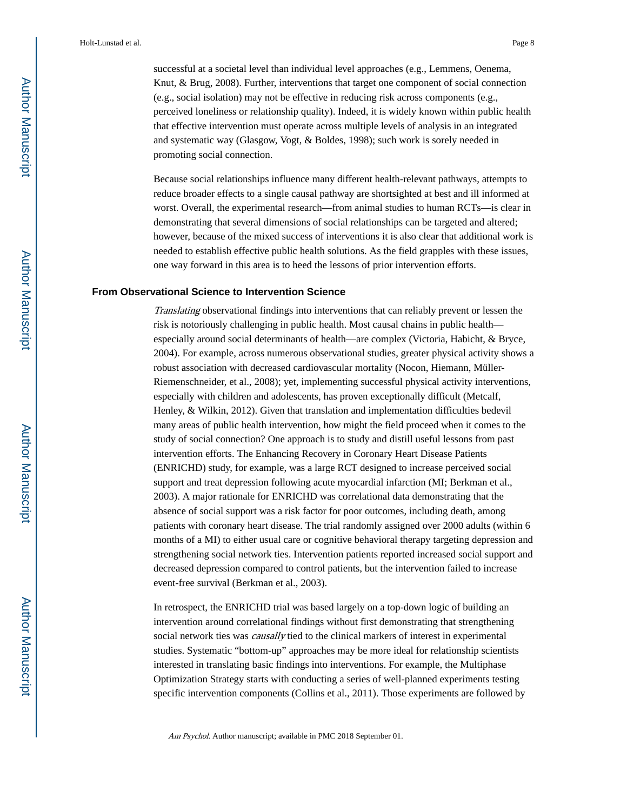successful at a societal level than individual level approaches (e.g., Lemmens, Oenema, Knut, & Brug, 2008). Further, interventions that target one component of social connection (e.g., social isolation) may not be effective in reducing risk across components (e.g., perceived loneliness or relationship quality). Indeed, it is widely known within public health that effective intervention must operate across multiple levels of analysis in an integrated and systematic way (Glasgow, Vogt, & Boldes, 1998); such work is sorely needed in promoting social connection.

Because social relationships influence many different health-relevant pathways, attempts to reduce broader effects to a single causal pathway are shortsighted at best and ill informed at worst. Overall, the experimental research—from animal studies to human RCTs—is clear in demonstrating that several dimensions of social relationships can be targeted and altered; however, because of the mixed success of interventions it is also clear that additional work is needed to establish effective public health solutions. As the field grapples with these issues, one way forward in this area is to heed the lessons of prior intervention efforts.

### **From Observational Science to Intervention Science**

Translating observational findings into interventions that can reliably prevent or lessen the risk is notoriously challenging in public health. Most causal chains in public health especially around social determinants of health—are complex (Victoria, Habicht, & Bryce, 2004). For example, across numerous observational studies, greater physical activity shows a robust association with decreased cardiovascular mortality (Nocon, Hiemann, Müller-Riemenschneider, et al., 2008); yet, implementing successful physical activity interventions, especially with children and adolescents, has proven exceptionally difficult (Metcalf, Henley, & Wilkin, 2012). Given that translation and implementation difficulties bedevil many areas of public health intervention, how might the field proceed when it comes to the study of social connection? One approach is to study and distill useful lessons from past intervention efforts. The Enhancing Recovery in Coronary Heart Disease Patients (ENRICHD) study, for example, was a large RCT designed to increase perceived social support and treat depression following acute myocardial infarction (MI; Berkman et al., 2003). A major rationale for ENRICHD was correlational data demonstrating that the absence of social support was a risk factor for poor outcomes, including death, among patients with coronary heart disease. The trial randomly assigned over 2000 adults (within 6 months of a MI) to either usual care or cognitive behavioral therapy targeting depression and strengthening social network ties. Intervention patients reported increased social support and decreased depression compared to control patients, but the intervention failed to increase event-free survival (Berkman et al., 2003).

In retrospect, the ENRICHD trial was based largely on a top-down logic of building an intervention around correlational findings without first demonstrating that strengthening social network ties was *causally* tied to the clinical markers of interest in experimental studies. Systematic "bottom-up" approaches may be more ideal for relationship scientists interested in translating basic findings into interventions. For example, the Multiphase Optimization Strategy starts with conducting a series of well-planned experiments testing specific intervention components (Collins et al., 2011). Those experiments are followed by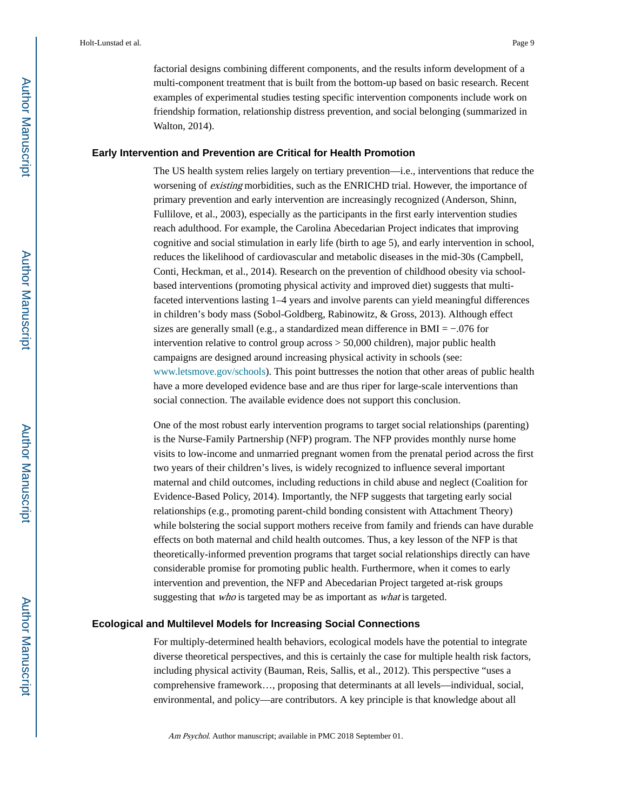factorial designs combining different components, and the results inform development of a multi-component treatment that is built from the bottom-up based on basic research. Recent examples of experimental studies testing specific intervention components include work on friendship formation, relationship distress prevention, and social belonging (summarized in Walton, 2014).

### **Early Intervention and Prevention are Critical for Health Promotion**

The US health system relies largely on tertiary prevention—i.e., interventions that reduce the worsening of existing morbidities, such as the ENRICHD trial. However, the importance of primary prevention and early intervention are increasingly recognized (Anderson, Shinn, Fullilove, et al., 2003), especially as the participants in the first early intervention studies reach adulthood. For example, the Carolina Abecedarian Project indicates that improving cognitive and social stimulation in early life (birth to age 5), and early intervention in school, reduces the likelihood of cardiovascular and metabolic diseases in the mid-30s (Campbell, Conti, Heckman, et al., 2014). Research on the prevention of childhood obesity via schoolbased interventions (promoting physical activity and improved diet) suggests that multifaceted interventions lasting 1–4 years and involve parents can yield meaningful differences in children's body mass (Sobol-Goldberg, Rabinowitz, & Gross, 2013). Although effect sizes are generally small (e.g., a standardized mean difference in BMI =  $-0.076$  for intervention relative to control group across > 50,000 children), major public health campaigns are designed around increasing physical activity in schools (see: www.letsmove.gov/schools). This point buttresses the notion that other areas of public health have a more developed evidence base and are thus riper for large-scale interventions than social connection. The available evidence does not support this conclusion.

One of the most robust early intervention programs to target social relationships (parenting) is the Nurse-Family Partnership (NFP) program. The NFP provides monthly nurse home visits to low-income and unmarried pregnant women from the prenatal period across the first two years of their children's lives, is widely recognized to influence several important maternal and child outcomes, including reductions in child abuse and neglect (Coalition for Evidence-Based Policy, 2014). Importantly, the NFP suggests that targeting early social relationships (e.g., promoting parent-child bonding consistent with Attachment Theory) while bolstering the social support mothers receive from family and friends can have durable effects on both maternal and child health outcomes. Thus, a key lesson of the NFP is that theoretically-informed prevention programs that target social relationships directly can have considerable promise for promoting public health. Furthermore, when it comes to early intervention and prevention, the NFP and Abecedarian Project targeted at-risk groups suggesting that who is targeted may be as important as what is targeted.

### **Ecological and Multilevel Models for Increasing Social Connections**

For multiply-determined health behaviors, ecological models have the potential to integrate diverse theoretical perspectives, and this is certainly the case for multiple health risk factors, including physical activity (Bauman, Reis, Sallis, et al., 2012). This perspective "uses a comprehensive framework…, proposing that determinants at all levels—individual, social, environmental, and policy—are contributors. A key principle is that knowledge about all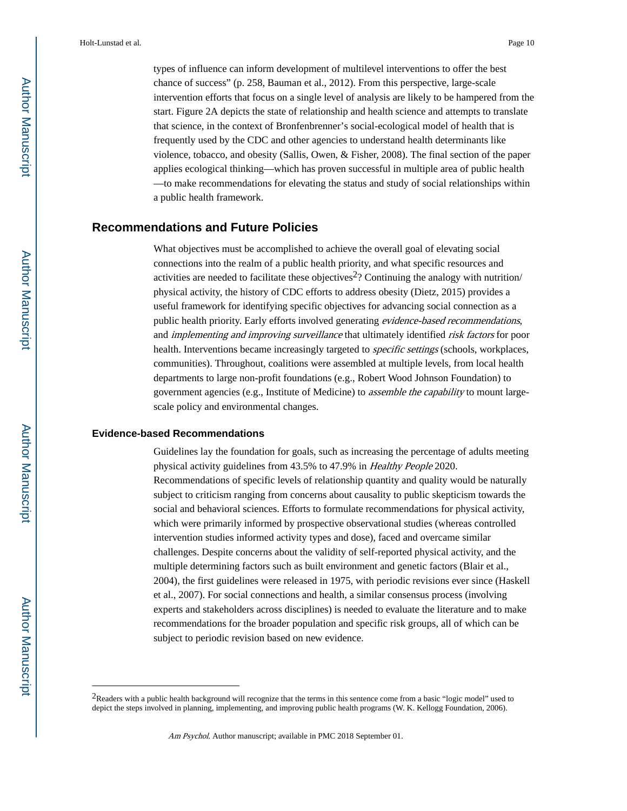types of influence can inform development of multilevel interventions to offer the best chance of success" (p. 258, Bauman et al., 2012). From this perspective, large-scale intervention efforts that focus on a single level of analysis are likely to be hampered from the start. Figure 2A depicts the state of relationship and health science and attempts to translate that science, in the context of Bronfenbrenner's social-ecological model of health that is frequently used by the CDC and other agencies to understand health determinants like violence, tobacco, and obesity (Sallis, Owen, & Fisher, 2008). The final section of the paper applies ecological thinking—which has proven successful in multiple area of public health —to make recommendations for elevating the status and study of social relationships within a public health framework.

## **Recommendations and Future Policies**

What objectives must be accomplished to achieve the overall goal of elevating social connections into the realm of a public health priority, and what specific resources and activities are needed to facilitate these objectives<sup>2</sup>? Continuing the analogy with nutrition/ physical activity, the history of CDC efforts to address obesity (Dietz, 2015) provides a useful framework for identifying specific objectives for advancing social connection as a public health priority. Early efforts involved generating evidence-based recommendations, and implementing and improving surveillance that ultimately identified risk factors for poor health. Interventions became increasingly targeted to specific settings (schools, workplaces, communities). Throughout, coalitions were assembled at multiple levels, from local health departments to large non-profit foundations (e.g., Robert Wood Johnson Foundation) to government agencies (e.g., Institute of Medicine) to *assemble the capability* to mount largescale policy and environmental changes.

### **Evidence-based Recommendations**

Guidelines lay the foundation for goals, such as increasing the percentage of adults meeting physical activity guidelines from 43.5% to 47.9% in Healthy People 2020. Recommendations of specific levels of relationship quantity and quality would be naturally subject to criticism ranging from concerns about causality to public skepticism towards the social and behavioral sciences. Efforts to formulate recommendations for physical activity, which were primarily informed by prospective observational studies (whereas controlled intervention studies informed activity types and dose), faced and overcame similar challenges. Despite concerns about the validity of self-reported physical activity, and the multiple determining factors such as built environment and genetic factors (Blair et al., 2004), the first guidelines were released in 1975, with periodic revisions ever since (Haskell et al., 2007). For social connections and health, a similar consensus process (involving experts and stakeholders across disciplines) is needed to evaluate the literature and to make recommendations for the broader population and specific risk groups, all of which can be subject to periodic revision based on new evidence.

<sup>&</sup>lt;sup>2</sup>Readers with a public health background will recognize that the terms in this sentence come from a basic "logic model" used to depict the steps involved in planning, implementing, and improving public health programs (W. K. Kellogg Foundation, 2006).

Am Psychol. Author manuscript; available in PMC 2018 September 01.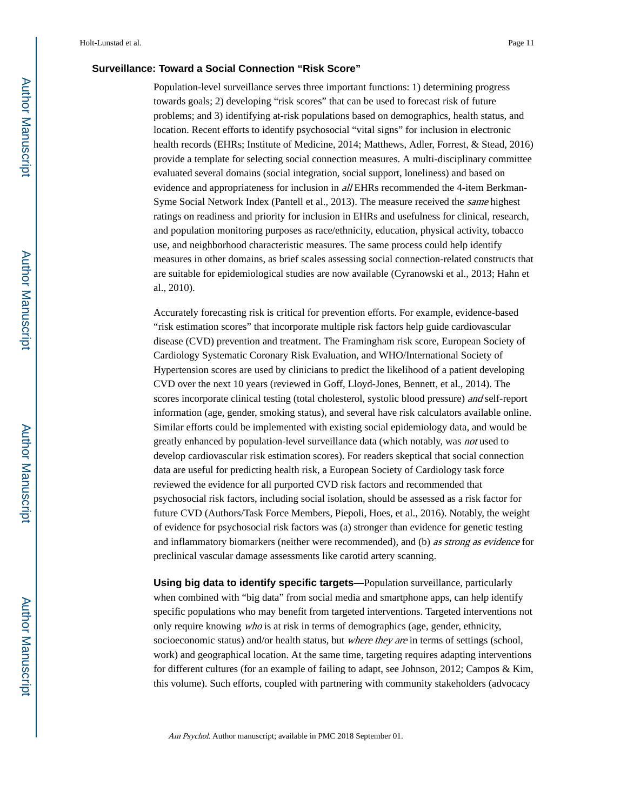### **Surveillance: Toward a Social Connection "Risk Score"**

Population-level surveillance serves three important functions: 1) determining progress towards goals; 2) developing "risk scores" that can be used to forecast risk of future problems; and 3) identifying at-risk populations based on demographics, health status, and location. Recent efforts to identify psychosocial "vital signs" for inclusion in electronic health records (EHRs; Institute of Medicine, 2014; Matthews, Adler, Forrest, & Stead, 2016) provide a template for selecting social connection measures. A multi-disciplinary committee evaluated several domains (social integration, social support, loneliness) and based on evidence and appropriateness for inclusion in *all* EHRs recommended the 4-item Berkman-Syme Social Network Index (Pantell et al., 2013). The measure received the same highest ratings on readiness and priority for inclusion in EHRs and usefulness for clinical, research, and population monitoring purposes as race/ethnicity, education, physical activity, tobacco use, and neighborhood characteristic measures. The same process could help identify measures in other domains, as brief scales assessing social connection-related constructs that are suitable for epidemiological studies are now available (Cyranowski et al., 2013; Hahn et al., 2010).

Accurately forecasting risk is critical for prevention efforts. For example, evidence-based "risk estimation scores" that incorporate multiple risk factors help guide cardiovascular disease (CVD) prevention and treatment. The Framingham risk score, European Society of Cardiology Systematic Coronary Risk Evaluation, and WHO/International Society of Hypertension scores are used by clinicians to predict the likelihood of a patient developing CVD over the next 10 years (reviewed in Goff, Lloyd-Jones, Bennett, et al., 2014). The scores incorporate clinical testing (total cholesterol, systolic blood pressure) and self-report information (age, gender, smoking status), and several have risk calculators available online. Similar efforts could be implemented with existing social epidemiology data, and would be greatly enhanced by population-level surveillance data (which notably, was not used to develop cardiovascular risk estimation scores). For readers skeptical that social connection data are useful for predicting health risk, a European Society of Cardiology task force reviewed the evidence for all purported CVD risk factors and recommended that psychosocial risk factors, including social isolation, should be assessed as a risk factor for future CVD (Authors/Task Force Members, Piepoli, Hoes, et al., 2016). Notably, the weight of evidence for psychosocial risk factors was (a) stronger than evidence for genetic testing and inflammatory biomarkers (neither were recommended), and (b) as strong as evidence for preclinical vascular damage assessments like carotid artery scanning.

**Using big data to identify specific targets—**Population surveillance, particularly when combined with "big data" from social media and smartphone apps, can help identify specific populations who may benefit from targeted interventions. Targeted interventions not only require knowing who is at risk in terms of demographics (age, gender, ethnicity, socioeconomic status) and/or health status, but *where they are* in terms of settings (school, work) and geographical location. At the same time, targeting requires adapting interventions for different cultures (for an example of failing to adapt, see Johnson, 2012; Campos & Kim, this volume). Such efforts, coupled with partnering with community stakeholders (advocacy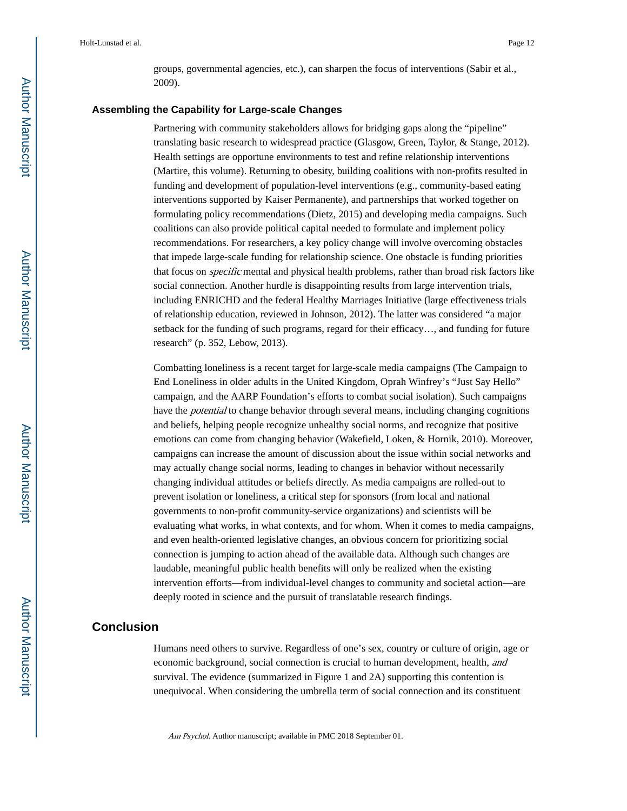groups, governmental agencies, etc.), can sharpen the focus of interventions (Sabir et al., 2009).

### **Assembling the Capability for Large-scale Changes**

Partnering with community stakeholders allows for bridging gaps along the "pipeline" translating basic research to widespread practice (Glasgow, Green, Taylor, & Stange, 2012). Health settings are opportune environments to test and refine relationship interventions (Martire, this volume). Returning to obesity, building coalitions with non-profits resulted in funding and development of population-level interventions (e.g., community-based eating interventions supported by Kaiser Permanente), and partnerships that worked together on formulating policy recommendations (Dietz, 2015) and developing media campaigns. Such coalitions can also provide political capital needed to formulate and implement policy recommendations. For researchers, a key policy change will involve overcoming obstacles that impede large-scale funding for relationship science. One obstacle is funding priorities that focus on specific mental and physical health problems, rather than broad risk factors like social connection. Another hurdle is disappointing results from large intervention trials, including ENRICHD and the federal Healthy Marriages Initiative (large effectiveness trials of relationship education, reviewed in Johnson, 2012). The latter was considered "a major setback for the funding of such programs, regard for their efficacy…, and funding for future research" (p. 352, Lebow, 2013).

Combatting loneliness is a recent target for large-scale media campaigns (The Campaign to End Loneliness in older adults in the United Kingdom, Oprah Winfrey's "Just Say Hello" campaign, and the AARP Foundation's efforts to combat social isolation). Such campaigns have the potential to change behavior through several means, including changing cognitions and beliefs, helping people recognize unhealthy social norms, and recognize that positive emotions can come from changing behavior (Wakefield, Loken, & Hornik, 2010). Moreover, campaigns can increase the amount of discussion about the issue within social networks and may actually change social norms, leading to changes in behavior without necessarily changing individual attitudes or beliefs directly. As media campaigns are rolled-out to prevent isolation or loneliness, a critical step for sponsors (from local and national governments to non-profit community-service organizations) and scientists will be evaluating what works, in what contexts, and for whom. When it comes to media campaigns, and even health-oriented legislative changes, an obvious concern for prioritizing social connection is jumping to action ahead of the available data. Although such changes are laudable, meaningful public health benefits will only be realized when the existing intervention efforts—from individual-level changes to community and societal action—are deeply rooted in science and the pursuit of translatable research findings.

### **Conclusion**

Humans need others to survive. Regardless of one's sex, country or culture of origin, age or economic background, social connection is crucial to human development, health, and survival. The evidence (summarized in Figure 1 and 2A) supporting this contention is unequivocal. When considering the umbrella term of social connection and its constituent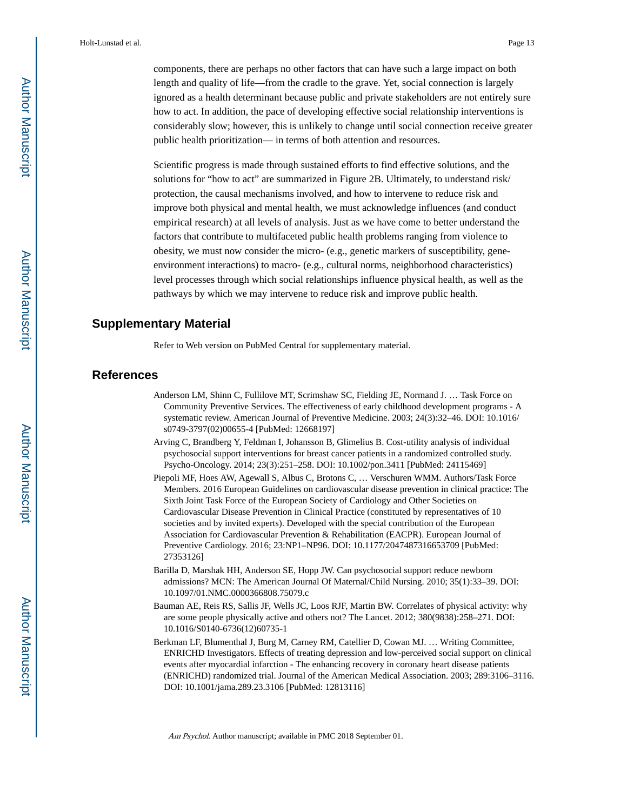components, there are perhaps no other factors that can have such a large impact on both length and quality of life—from the cradle to the grave. Yet, social connection is largely ignored as a health determinant because public and private stakeholders are not entirely sure how to act. In addition, the pace of developing effective social relationship interventions is considerably slow; however, this is unlikely to change until social connection receive greater public health prioritization— in terms of both attention and resources.

Scientific progress is made through sustained efforts to find effective solutions, and the solutions for "how to act" are summarized in Figure 2B. Ultimately, to understand risk/ protection, the causal mechanisms involved, and how to intervene to reduce risk and improve both physical and mental health, we must acknowledge influences (and conduct empirical research) at all levels of analysis. Just as we have come to better understand the factors that contribute to multifaceted public health problems ranging from violence to obesity, we must now consider the micro- (e.g., genetic markers of susceptibility, geneenvironment interactions) to macro- (e.g., cultural norms, neighborhood characteristics) level processes through which social relationships influence physical health, as well as the pathways by which we may intervene to reduce risk and improve public health.

### **Supplementary Material**

Refer to Web version on PubMed Central for supplementary material.

### **References**

- Anderson LM, Shinn C, Fullilove MT, Scrimshaw SC, Fielding JE, Normand J. … Task Force on Community Preventive Services. The effectiveness of early childhood development programs - A systematic review. American Journal of Preventive Medicine. 2003; 24(3):32–46. DOI: 10.1016/ s0749-3797(02)00655-4 [PubMed: 12668197]
- Arving C, Brandberg Y, Feldman I, Johansson B, Glimelius B. Cost-utility analysis of individual psychosocial support interventions for breast cancer patients in a randomized controlled study. Psycho-Oncology. 2014; 23(3):251–258. DOI: 10.1002/pon.3411 [PubMed: 24115469]
- Piepoli MF, Hoes AW, Agewall S, Albus C, Brotons C, … Verschuren WMM. Authors/Task Force Members. 2016 European Guidelines on cardiovascular disease prevention in clinical practice: The Sixth Joint Task Force of the European Society of Cardiology and Other Societies on Cardiovascular Disease Prevention in Clinical Practice (constituted by representatives of 10 societies and by invited experts). Developed with the special contribution of the European Association for Cardiovascular Prevention & Rehabilitation (EACPR). European Journal of Preventive Cardiology. 2016; 23:NP1–NP96. DOI: 10.1177/2047487316653709 [PubMed: 27353126]
- Barilla D, Marshak HH, Anderson SE, Hopp JW. Can psychosocial support reduce newborn admissions? MCN: The American Journal Of Maternal/Child Nursing. 2010; 35(1):33–39. DOI: 10.1097/01.NMC.0000366808.75079.c
- Bauman AE, Reis RS, Sallis JF, Wells JC, Loos RJF, Martin BW. Correlates of physical activity: why are some people physically active and others not? The Lancet. 2012; 380(9838):258–271. DOI: 10.1016/S0140-6736(12)60735-1
- Berkman LF, Blumenthal J, Burg M, Carney RM, Catellier D, Cowan MJ. … Writing Committee, ENRICHD Investigators. Effects of treating depression and low-perceived social support on clinical events after myocardial infarction - The enhancing recovery in coronary heart disease patients (ENRICHD) randomized trial. Journal of the American Medical Association. 2003; 289:3106–3116. DOI: 10.1001/jama.289.23.3106 [PubMed: 12813116]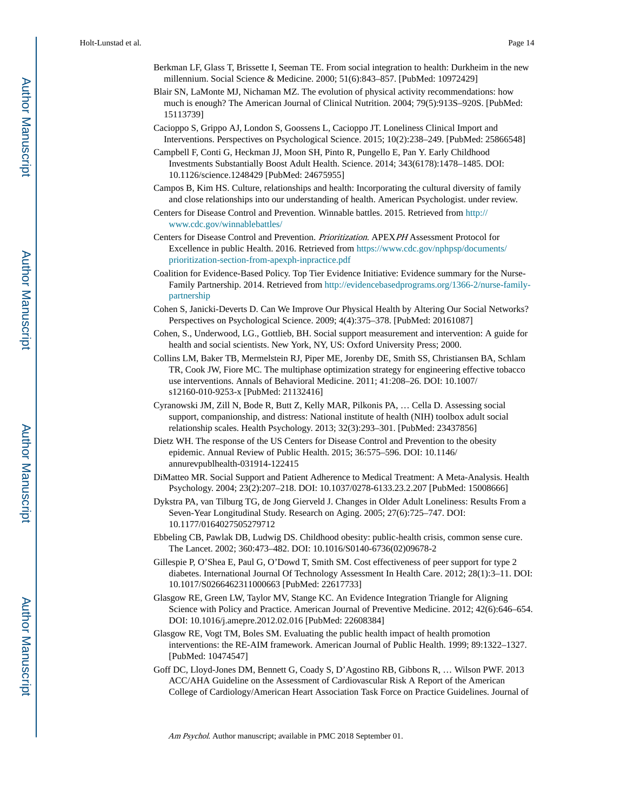- Berkman LF, Glass T, Brissette I, Seeman TE. From social integration to health: Durkheim in the new millennium. Social Science & Medicine. 2000; 51(6):843–857. [PubMed: 10972429]
- Blair SN, LaMonte MJ, Nichaman MZ. The evolution of physical activity recommendations: how much is enough? The American Journal of Clinical Nutrition. 2004; 79(5):913S–920S. [PubMed: 15113739]
- Cacioppo S, Grippo AJ, London S, Goossens L, Cacioppo JT. Loneliness Clinical Import and Interventions. Perspectives on Psychological Science. 2015; 10(2):238–249. [PubMed: 25866548]
- Campbell F, Conti G, Heckman JJ, Moon SH, Pinto R, Pungello E, Pan Y. Early Childhood Investments Substantially Boost Adult Health. Science. 2014; 343(6178):1478–1485. DOI: 10.1126/science.1248429 [PubMed: 24675955]
- Campos B, Kim HS. Culture, relationships and health: Incorporating the cultural diversity of family and close relationships into our understanding of health. American Psychologist. under review.
- Centers for Disease Control and Prevention. Winnable battles. 2015. Retrieved from [http://](http://www.cdc.gov/winnablebattles/) [www.cdc.gov/winnablebattles/](http://www.cdc.gov/winnablebattles/)
- Centers for Disease Control and Prevention. Prioritization. APEXPH Assessment Protocol for Excellence in public Health. 2016. Retrieved from [https://www.cdc.gov/nphpsp/documents/](https://www.cdc.gov/nphpsp/documents/prioritization-section-from-apexph-inpractice.pdf) [prioritization-section-from-apexph-inpractice.pdf](https://www.cdc.gov/nphpsp/documents/prioritization-section-from-apexph-inpractice.pdf)
- Coalition for Evidence-Based Policy. Top Tier Evidence Initiative: Evidence summary for the Nurse-Family Partnership. 2014. Retrieved from [http://evidencebasedprograms.org/1366-2/nurse-family](http://evidencebasedprograms.org/1366-2/nurse-family-partnership)[partnership](http://evidencebasedprograms.org/1366-2/nurse-family-partnership)
- Cohen S, Janicki-Deverts D. Can We Improve Our Physical Health by Altering Our Social Networks? Perspectives on Psychological Science. 2009; 4(4):375–378. [PubMed: 20161087]
- Cohen, S., Underwood, LG., Gottlieb, BH. Social support measurement and intervention: A guide for health and social scientists. New York, NY, US: Oxford University Press; 2000.
- Collins LM, Baker TB, Mermelstein RJ, Piper ME, Jorenby DE, Smith SS, Christiansen BA, Schlam TR, Cook JW, Fiore MC. The multiphase optimization strategy for engineering effective tobacco use interventions. Annals of Behavioral Medicine. 2011; 41:208–26. DOI: 10.1007/ s12160-010-9253-x [PubMed: 21132416]
- Cyranowski JM, Zill N, Bode R, Butt Z, Kelly MAR, Pilkonis PA, … Cella D. Assessing social support, companionship, and distress: National institute of health (NIH) toolbox adult social relationship scales. Health Psychology. 2013; 32(3):293–301. [PubMed: 23437856]
- Dietz WH. The response of the US Centers for Disease Control and Prevention to the obesity epidemic. Annual Review of Public Health. 2015; 36:575–596. DOI: 10.1146/ annurevpublhealth-031914-122415
- DiMatteo MR. Social Support and Patient Adherence to Medical Treatment: A Meta-Analysis. Health Psychology. 2004; 23(2):207–218. DOI: 10.1037/0278-6133.23.2.207 [PubMed: 15008666]
- Dykstra PA, van Tilburg TG, de Jong Gierveld J. Changes in Older Adult Loneliness: Results From a Seven-Year Longitudinal Study. Research on Aging. 2005; 27(6):725–747. DOI: 10.1177/0164027505279712
- Ebbeling CB, Pawlak DB, Ludwig DS. Childhood obesity: public-health crisis, common sense cure. The Lancet. 2002; 360:473–482. DOI: 10.1016/S0140-6736(02)09678-2
- Gillespie P, O'Shea E, Paul G, O'Dowd T, Smith SM. Cost effectiveness of peer support for type 2 diabetes. International Journal Of Technology Assessment In Health Care. 2012; 28(1):3–11. DOI: 10.1017/S0266462311000663 [PubMed: 22617733]
- Glasgow RE, Green LW, Taylor MV, Stange KC. An Evidence Integration Triangle for Aligning Science with Policy and Practice. American Journal of Preventive Medicine. 2012; 42(6):646–654. DOI: 10.1016/j.amepre.2012.02.016 [PubMed: 22608384]
- Glasgow RE, Vogt TM, Boles SM. Evaluating the public health impact of health promotion interventions: the RE-AIM framework. American Journal of Public Health. 1999; 89:1322–1327. [PubMed: 10474547]
- Goff DC, Lloyd-Jones DM, Bennett G, Coady S, D'Agostino RB, Gibbons R, … Wilson PWF. 2013 ACC/AHA Guideline on the Assessment of Cardiovascular Risk A Report of the American College of Cardiology/American Heart Association Task Force on Practice Guidelines. Journal of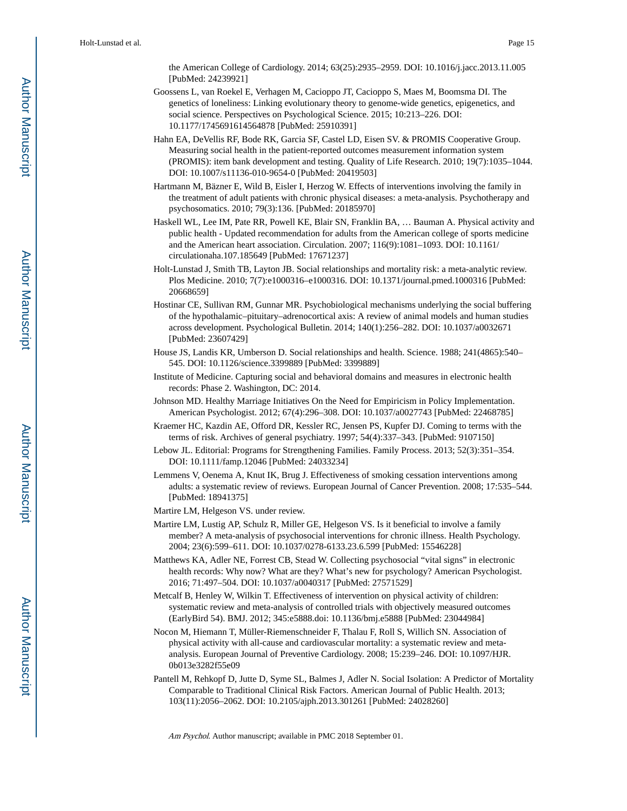the American College of Cardiology. 2014; 63(25):2935–2959. DOI: 10.1016/j.jacc.2013.11.005 [PubMed: 24239921]

- Goossens L, van Roekel E, Verhagen M, Cacioppo JT, Cacioppo S, Maes M, Boomsma DI. The genetics of loneliness: Linking evolutionary theory to genome-wide genetics, epigenetics, and social science. Perspectives on Psychological Science. 2015; 10:213–226. DOI: 10.1177/1745691614564878 [PubMed: 25910391]
- Hahn EA, DeVellis RF, Bode RK, Garcia SF, Castel LD, Eisen SV. & PROMIS Cooperative Group. Measuring social health in the patient-reported outcomes measurement information system (PROMIS): item bank development and testing. Quality of Life Research. 2010; 19(7):1035–1044. DOI: 10.1007/s11136-010-9654-0 [PubMed: 20419503]
- Hartmann M, Bäzner E, Wild B, Eisler I, Herzog W. Effects of interventions involving the family in the treatment of adult patients with chronic physical diseases: a meta-analysis. Psychotherapy and psychosomatics. 2010; 79(3):136. [PubMed: 20185970]
- Haskell WL, Lee IM, Pate RR, Powell KE, Blair SN, Franklin BA, … Bauman A. Physical activity and public health - Updated recommendation for adults from the American college of sports medicine and the American heart association. Circulation. 2007; 116(9):1081–1093. DOI: 10.1161/ circulationaha.107.185649 [PubMed: 17671237]
- Holt-Lunstad J, Smith TB, Layton JB. Social relationships and mortality risk: a meta-analytic review. Plos Medicine. 2010; 7(7):e1000316–e1000316. DOI: 10.1371/journal.pmed.1000316 [PubMed: 20668659]
- Hostinar CE, Sullivan RM, Gunnar MR. Psychobiological mechanisms underlying the social buffering of the hypothalamic–pituitary–adrenocortical axis: A review of animal models and human studies across development. Psychological Bulletin. 2014; 140(1):256–282. DOI: 10.1037/a0032671 [PubMed: 23607429]
- House JS, Landis KR, Umberson D. Social relationships and health. Science. 1988; 241(4865):540– 545. DOI: 10.1126/science.3399889 [PubMed: 3399889]
- Institute of Medicine. Capturing social and behavioral domains and measures in electronic health records: Phase 2. Washington, DC: 2014.
- Johnson MD. Healthy Marriage Initiatives On the Need for Empiricism in Policy Implementation. American Psychologist. 2012; 67(4):296–308. DOI: 10.1037/a0027743 [PubMed: 22468785]
- Kraemer HC, Kazdin AE, Offord DR, Kessler RC, Jensen PS, Kupfer DJ. Coming to terms with the terms of risk. Archives of general psychiatry. 1997; 54(4):337–343. [PubMed: 9107150]
- Lebow JL. Editorial: Programs for Strengthening Families. Family Process. 2013; 52(3):351–354. DOI: 10.1111/famp.12046 [PubMed: 24033234]
- Lemmens V, Oenema A, Knut IK, Brug J. Effectiveness of smoking cessation interventions among adults: a systematic review of reviews. European Journal of Cancer Prevention. 2008; 17:535–544. [PubMed: 18941375]
- Martire LM, Helgeson VS. under review.
- Martire LM, Lustig AP, Schulz R, Miller GE, Helgeson VS. Is it beneficial to involve a family member? A meta-analysis of psychosocial interventions for chronic illness. Health Psychology. 2004; 23(6):599–611. DOI: 10.1037/0278-6133.23.6.599 [PubMed: 15546228]
- Matthews KA, Adler NE, Forrest CB, Stead W. Collecting psychosocial "vital signs" in electronic health records: Why now? What are they? What's new for psychology? American Psychologist. 2016; 71:497–504. DOI: 10.1037/a0040317 [PubMed: 27571529]
- Metcalf B, Henley W, Wilkin T. Effectiveness of intervention on physical activity of children: systematic review and meta-analysis of controlled trials with objectively measured outcomes (EarlyBird 54). BMJ. 2012; 345:e5888.doi: 10.1136/bmj.e5888 [PubMed: 23044984]
- Nocon M, Hiemann T, Müller-Riemenschneider F, Thalau F, Roll S, Willich SN. Association of physical activity with all-cause and cardiovascular mortality: a systematic review and metaanalysis. European Journal of Preventive Cardiology. 2008; 15:239–246. DOI: 10.1097/HJR. 0b013e3282f55e09
- Pantell M, Rehkopf D, Jutte D, Syme SL, Balmes J, Adler N. Social Isolation: A Predictor of Mortality Comparable to Traditional Clinical Risk Factors. American Journal of Public Health. 2013; 103(11):2056–2062. DOI: 10.2105/ajph.2013.301261 [PubMed: 24028260]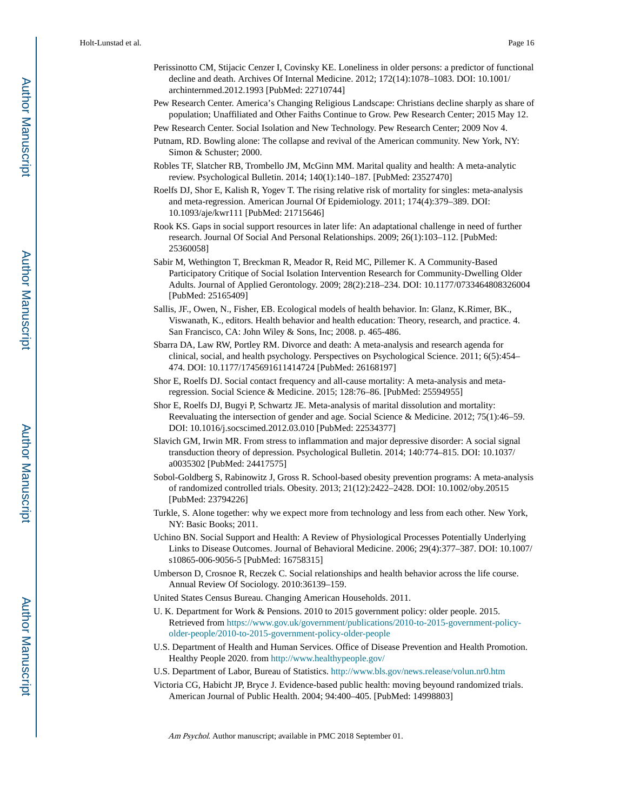- Perissinotto CM, Stijacic Cenzer I, Covinsky KE. Loneliness in older persons: a predictor of functional decline and death. Archives Of Internal Medicine. 2012; 172(14):1078–1083. DOI: 10.1001/ archinternmed.2012.1993 [PubMed: 22710744]
- Pew Research Center. America's Changing Religious Landscape: Christians decline sharply as share of population; Unaffiliated and Other Faiths Continue to Grow. Pew Research Center; 2015 May 12.
- Pew Research Center. Social Isolation and New Technology. Pew Research Center; 2009 Nov 4.
- Putnam, RD. Bowling alone: The collapse and revival of the American community. New York, NY: Simon & Schuster; 2000.
- Robles TF, Slatcher RB, Trombello JM, McGinn MM. Marital quality and health: A meta-analytic review. Psychological Bulletin. 2014; 140(1):140–187. [PubMed: 23527470]
- Roelfs DJ, Shor E, Kalish R, Yogev T. The rising relative risk of mortality for singles: meta-analysis and meta-regression. American Journal Of Epidemiology. 2011; 174(4):379–389. DOI: 10.1093/aje/kwr111 [PubMed: 21715646]
- Rook KS. Gaps in social support resources in later life: An adaptational challenge in need of further research. Journal Of Social And Personal Relationships. 2009; 26(1):103–112. [PubMed: 25360058]
- Sabir M, Wethington T, Breckman R, Meador R, Reid MC, Pillemer K. A Community-Based Participatory Critique of Social Isolation Intervention Research for Community-Dwelling Older Adults. Journal of Applied Gerontology. 2009; 28(2):218–234. DOI: 10.1177/0733464808326004 [PubMed: 25165409]
- Sallis, JF., Owen, N., Fisher, EB. Ecological models of health behavior. In: Glanz, K.Rimer, BK., Viswanath, K., editors. Health behavior and health education: Theory, research, and practice. 4. San Francisco, CA: John Wiley & Sons, Inc; 2008. p. 465-486.
- Sbarra DA, Law RW, Portley RM. Divorce and death: A meta-analysis and research agenda for clinical, social, and health psychology. Perspectives on Psychological Science. 2011; 6(5):454– 474. DOI: 10.1177/1745691611414724 [PubMed: 26168197]
- Shor E, Roelfs DJ. Social contact frequency and all-cause mortality: A meta-analysis and metaregression. Social Science & Medicine. 2015; 128:76–86. [PubMed: 25594955]
- Shor E, Roelfs DJ, Bugyi P, Schwartz JE. Meta-analysis of marital dissolution and mortality: Reevaluating the intersection of gender and age. Social Science & Medicine. 2012; 75(1):46–59. DOI: 10.1016/j.socscimed.2012.03.010 [PubMed: 22534377]
- Slavich GM, Irwin MR. From stress to inflammation and major depressive disorder: A social signal transduction theory of depression. Psychological Bulletin. 2014; 140:774–815. DOI: 10.1037/ a0035302 [PubMed: 24417575]
- Sobol-Goldberg S, Rabinowitz J, Gross R. School-based obesity prevention programs: A meta-analysis of randomized controlled trials. Obesity. 2013; 21(12):2422–2428. DOI: 10.1002/oby.20515 [PubMed: 23794226]
- Turkle, S. Alone together: why we expect more from technology and less from each other. New York, NY: Basic Books; 2011.
- Uchino BN. Social Support and Health: A Review of Physiological Processes Potentially Underlying Links to Disease Outcomes. Journal of Behavioral Medicine. 2006; 29(4):377–387. DOI: 10.1007/ s10865-006-9056-5 [PubMed: 16758315]
- Umberson D, Crosnoe R, Reczek C. Social relationships and health behavior across the life course. Annual Review Of Sociology. 2010:36139–159.
- United States Census Bureau. Changing American Households. 2011.
- U. K. Department for Work & Pensions. 2010 to 2015 government policy: older people. 2015. Retrieved from [https://www.gov.uk/government/publications/2010-to-2015-government-policy](https://www.gov.uk/government/publications/2010-to-2015-government-policy-older-people/2010-to-2015-government-policy-older-people)[older-people/2010-to-2015-government-policy-older-people](https://www.gov.uk/government/publications/2010-to-2015-government-policy-older-people/2010-to-2015-government-policy-older-people)
- U.S. Department of Health and Human Services. Office of Disease Prevention and Health Promotion. Healthy People 2020. from <http://www.healthypeople.gov/>
- U.S. Department of Labor, Bureau of Statistics.<http://www.bls.gov/news.release/volun.nr0.htm>
- Victoria CG, Habicht JP, Bryce J. Evidence-based public health: moving beyound randomized trials. American Journal of Public Health. 2004; 94:400–405. [PubMed: 14998803]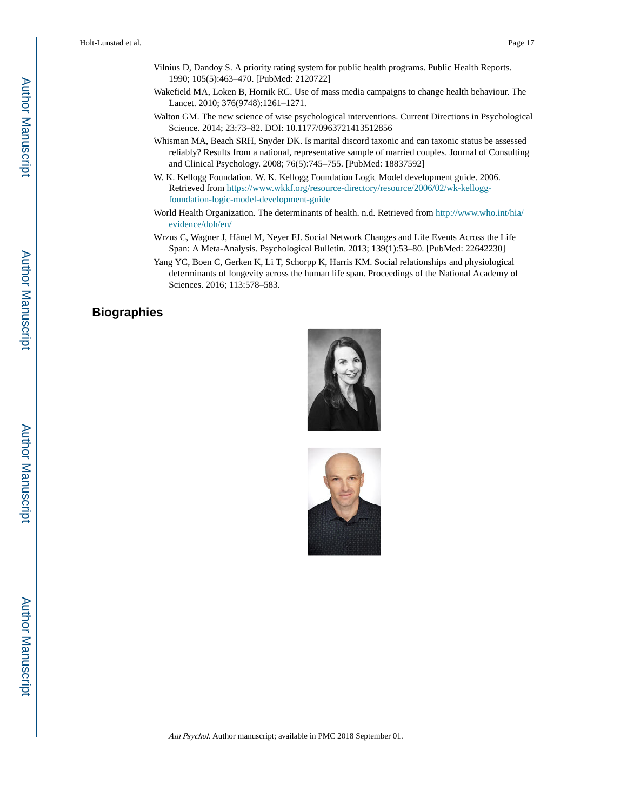- Vilnius D, Dandoy S. A priority rating system for public health programs. Public Health Reports. 1990; 105(5):463–470. [PubMed: 2120722]
- Wakefield MA, Loken B, Hornik RC. Use of mass media campaigns to change health behaviour. The Lancet. 2010; 376(9748):1261–1271.
- Walton GM. The new science of wise psychological interventions. Current Directions in Psychological Science. 2014; 23:73–82. DOI: 10.1177/0963721413512856
- Whisman MA, Beach SRH, Snyder DK. Is marital discord taxonic and can taxonic status be assessed reliably? Results from a national, representative sample of married couples. Journal of Consulting and Clinical Psychology. 2008; 76(5):745–755. [PubMed: 18837592]
- W. K. Kellogg Foundation. W. K. Kellogg Foundation Logic Model development guide. 2006. Retrieved from [https://www.wkkf.org/resource-directory/resource/2006/02/wk-kellogg](https://www.wkkf.org/resource-directory/resource/2006/02/wk-kellogg-foundation-logic-model-development-guide)[foundation-logic-model-development-guide](https://www.wkkf.org/resource-directory/resource/2006/02/wk-kellogg-foundation-logic-model-development-guide)
- World Health Organization. The determinants of health. n.d. Retrieved from [http://www.who.int/hia/](http://www.who.int/hia/evidence/doh/en/) [evidence/doh/en/](http://www.who.int/hia/evidence/doh/en/)
- Wrzus C, Wagner J, Hänel M, Neyer FJ. Social Network Changes and Life Events Across the Life Span: A Meta-Analysis. Psychological Bulletin. 2013; 139(1):53–80. [PubMed: 22642230]
- Yang YC, Boen C, Gerken K, Li T, Schorpp K, Harris KM. Social relationships and physiological determinants of longevity across the human life span. Proceedings of the National Academy of Sciences. 2016; 113:578–583.

### **Biographies**



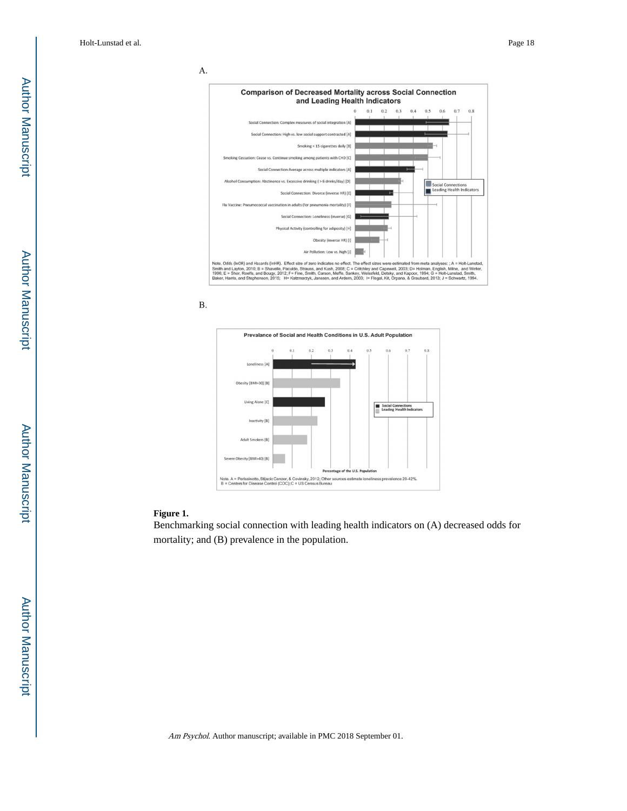





### **Figure 1.**

Benchmarking social connection with leading health indicators on (A) decreased odds for mortality; and (B) prevalence in the population.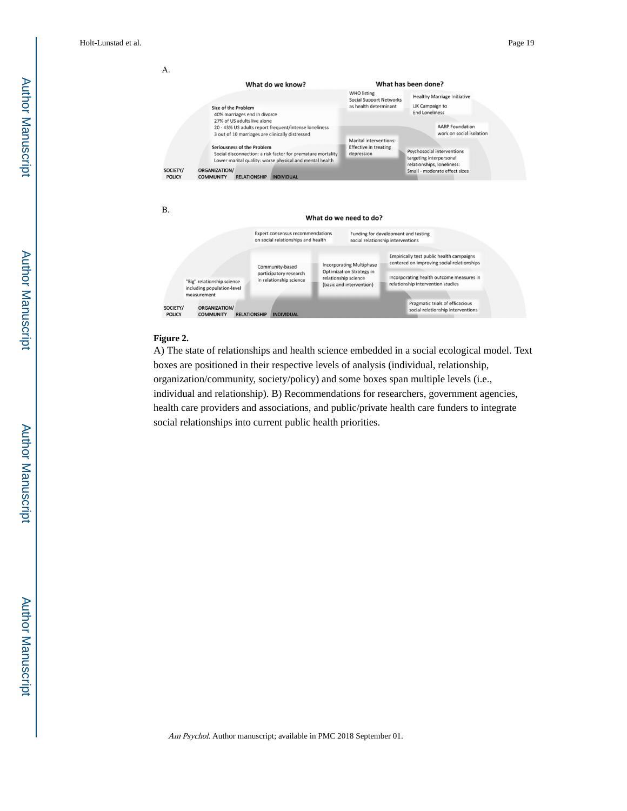

### **Figure 2.**

A) The state of relationships and health science embedded in a social ecological model. Text boxes are positioned in their respective levels of analysis (individual, relationship, organization/community, society/policy) and some boxes span multiple levels (i.e., individual and relationship). B) Recommendations for researchers, government agencies, health care providers and associations, and public/private health care funders to integrate social relationships into current public health priorities.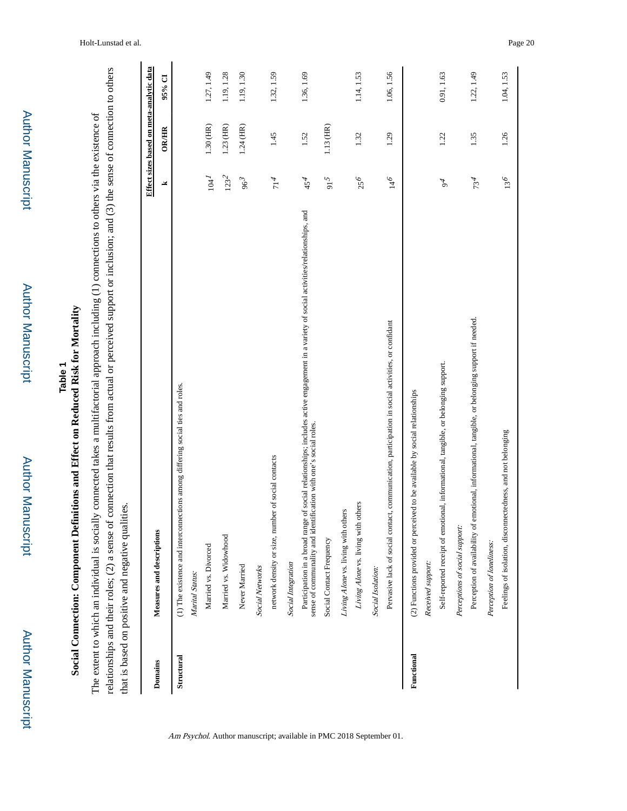| ٠ |
|---|
|   |
|   |
|   |
| í |
|   |
|   |
| S |
| i |
|   |
|   |
|   |
|   |
|   |
|   |
|   |
|   |
|   |
|   |
|   |
|   |
|   |
|   |
|   |
|   |
|   |

Author Manuscript

**Author Manuscript** 

# **Social Connection: Component Definitions and Effect on Reduced Risk for Mortality Social Connection: Component Definitions and Effect on Reduced Risk for Mortality**

relationships and their roles; (2) a sense of connection that results from actual or perceived support or inclusion; and (3) the sense of connection to others relationships and their roles; (2) a sense of connection that results from actual or perceived support or inclusion; and (3) the sense of connection to others The extent to which an individual is socially connected takes a multifactorial approach including (1) connections to others via the existence of The extent to which an individual is socially connected takes a multifactorial approach including (1) connections to others via the existence of that is based on positive and negative qualities. that is based on positive and negative qualities.

|                |                                                                                                                                                                                                                |                       | Effect sizes based on meta-analytic data |            |
|----------------|----------------------------------------------------------------------------------------------------------------------------------------------------------------------------------------------------------------|-----------------------|------------------------------------------|------------|
| <b>Domains</b> | Measures and descriptions                                                                                                                                                                                      | ᆇ                     | OR/HR                                    | 95% CI     |
| Structural     | (1) The existence and interconnections among differing social ties and roles.                                                                                                                                  |                       |                                          |            |
|                | Marital Status:                                                                                                                                                                                                |                       |                                          |            |
|                | Married vs. Divorced                                                                                                                                                                                           | 104 <sup>1</sup>      | $1.30$ (HR)                              | 1.27, 1.49 |
|                | Married vs. Widowhood                                                                                                                                                                                          | $123^2$               | $1.23$ (HR)                              | 1.19, 1.28 |
|                | Never Married                                                                                                                                                                                                  | 96 <sup>3</sup>       | 1.24 (HR)                                | 1.19, 1.30 |
|                | <b>Social Networks</b>                                                                                                                                                                                         |                       |                                          |            |
|                | network density or size, number of social contacts                                                                                                                                                             | 714                   | 1.45                                     | 1.32, 1.59 |
|                | Social Integration                                                                                                                                                                                             |                       |                                          |            |
|                | of social relationships; includes active engagement in a variety of social activities/relationships, and<br>sense of communality and identification with one's social roles.<br>Participation in a broad range | 45 <sup>4</sup>       | 1.52                                     | 1.36, 1.69 |
|                | Social Contact Frequency                                                                                                                                                                                       | $\mathfrak{g}^{\,16}$ | 1.13 (HR)                                |            |
|                | Living Alone vs. living with others                                                                                                                                                                            |                       |                                          |            |
|                | Living Alone vs. living with others                                                                                                                                                                            | 256                   | 1.32                                     | 1.14, 1.53 |
|                | Social Isolation:                                                                                                                                                                                              |                       |                                          |            |
|                | Pervasive lack of social contact, communication, participation in social activities, or confidant                                                                                                              | $g^{\dagger\dagger}$  | 1.29                                     | 1.06, 1.56 |
| Functional     | (2) Functions provided or perceived to be available by social relationships                                                                                                                                    |                       |                                          |            |
|                | Received support:                                                                                                                                                                                              |                       |                                          |            |
|                | Self-reported receipt of emotional, informational, tangible, or belonging support.                                                                                                                             | 94                    | 1.22                                     | 0.91, 1.63 |
|                | Perceptions of social support:                                                                                                                                                                                 |                       |                                          |            |
|                | Perception of availability of emotional, informational, tangible, or belonging support if needed.                                                                                                              | 734                   | 1.35                                     | 1.22, 1.49 |
|                | Perception of loneliness:                                                                                                                                                                                      |                       |                                          |            |
|                | Feelings of isolation, disconnectedness, and not belonging                                                                                                                                                     | $13^6$                | 1.26                                     | 1.04, 1.53 |